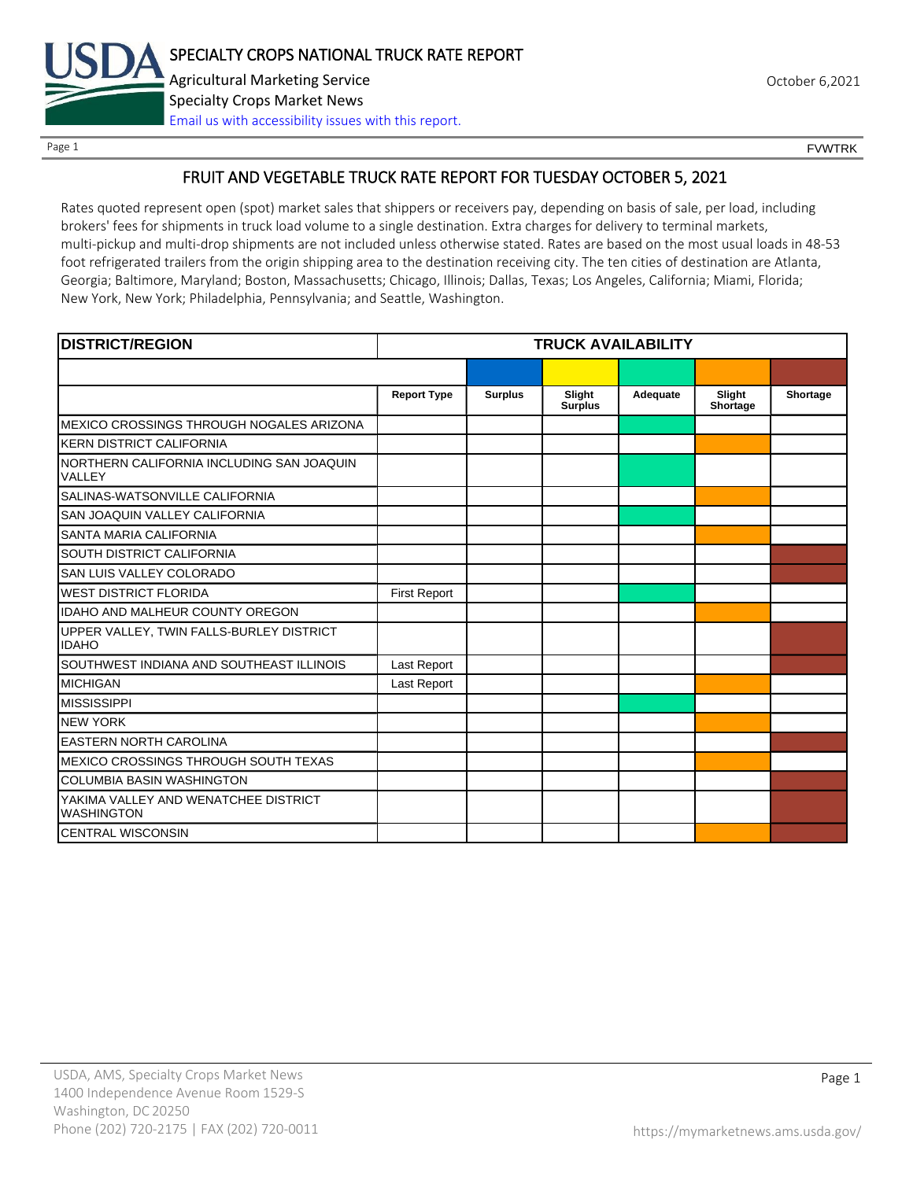

Page 1 FOUNTRK CONTROL CONTROL CONTROL CONTROL CONTROL CONTROL CONTROL CONTROL CONTROL CONTROL CONTROL CONTROL CONTROL CONTROL CONTROL CONTROL CONTROL CONTROL CONTROL CONTROL CONTROL CONTROL CONTROL CONTROL CONTROL CONTROL

### FRUIT AND VEGETABLE TRUCK RATE REPORT FOR TUESDAY OCTOBER 5, 2021

Rates quoted represent open (spot) market sales that shippers or receivers pay, depending on basis of sale, per load, including brokers' fees for shipments in truck load volume to a single destination. Extra charges for delivery to terminal markets, multi-pickup and multi-drop shipments are not included unless otherwise stated. Rates are based on the most usual loads in 48-53 foot refrigerated trailers from the origin shipping area to the destination receiving city. The ten cities of destination are Atlanta, Georgia; Baltimore, Maryland; Boston, Massachusetts; Chicago, Illinois; Dallas, Texas; Los Angeles, California; Miami, Florida; New York, New York; Philadelphia, Pennsylvania; and Seattle, Washington.

| <b>DISTRICT/REGION</b>                                    | <b>TRUCK AVAILABILITY</b> |                |                          |          |                    |          |
|-----------------------------------------------------------|---------------------------|----------------|--------------------------|----------|--------------------|----------|
|                                                           |                           |                |                          |          |                    |          |
|                                                           | <b>Report Type</b>        | <b>Surplus</b> | Slight<br><b>Surplus</b> | Adequate | Slight<br>Shortage | Shortage |
| MEXICO CROSSINGS THROUGH NOGALES ARIZONA                  |                           |                |                          |          |                    |          |
| <b>KERN DISTRICT CALIFORNIA</b>                           |                           |                |                          |          |                    |          |
| NORTHERN CALIFORNIA INCLUDING SAN JOAQUIN<br>VALLEY       |                           |                |                          |          |                    |          |
| SALINAS-WATSONVILLE CALIFORNIA                            |                           |                |                          |          |                    |          |
| SAN JOAQUIN VALLEY CALIFORNIA                             |                           |                |                          |          |                    |          |
| SANTA MARIA CALIFORNIA                                    |                           |                |                          |          |                    |          |
| SOUTH DISTRICT CALIFORNIA                                 |                           |                |                          |          |                    |          |
| SAN LUIS VALLEY COLORADO                                  |                           |                |                          |          |                    |          |
| <b>WEST DISTRICT FLORIDA</b>                              | <b>First Report</b>       |                |                          |          |                    |          |
| IDAHO AND MALHEUR COUNTY OREGON                           |                           |                |                          |          |                    |          |
| UPPER VALLEY, TWIN FALLS-BURLEY DISTRICT<br><b>IDAHO</b>  |                           |                |                          |          |                    |          |
| SOUTHWEST INDIANA AND SOUTHEAST ILLINOIS                  | Last Report               |                |                          |          |                    |          |
| <b>MICHIGAN</b>                                           | Last Report               |                |                          |          |                    |          |
| <b>MISSISSIPPI</b>                                        |                           |                |                          |          |                    |          |
| <b>NEW YORK</b>                                           |                           |                |                          |          |                    |          |
| <b>EASTERN NORTH CAROLINA</b>                             |                           |                |                          |          |                    |          |
| MEXICO CROSSINGS THROUGH SOUTH TEXAS                      |                           |                |                          |          |                    |          |
| <b>COLUMBIA BASIN WASHINGTON</b>                          |                           |                |                          |          |                    |          |
| YAKIMA VALLEY AND WENATCHEE DISTRICT<br><b>WASHINGTON</b> |                           |                |                          |          |                    |          |
| <b>CENTRAL WISCONSIN</b>                                  |                           |                |                          |          |                    |          |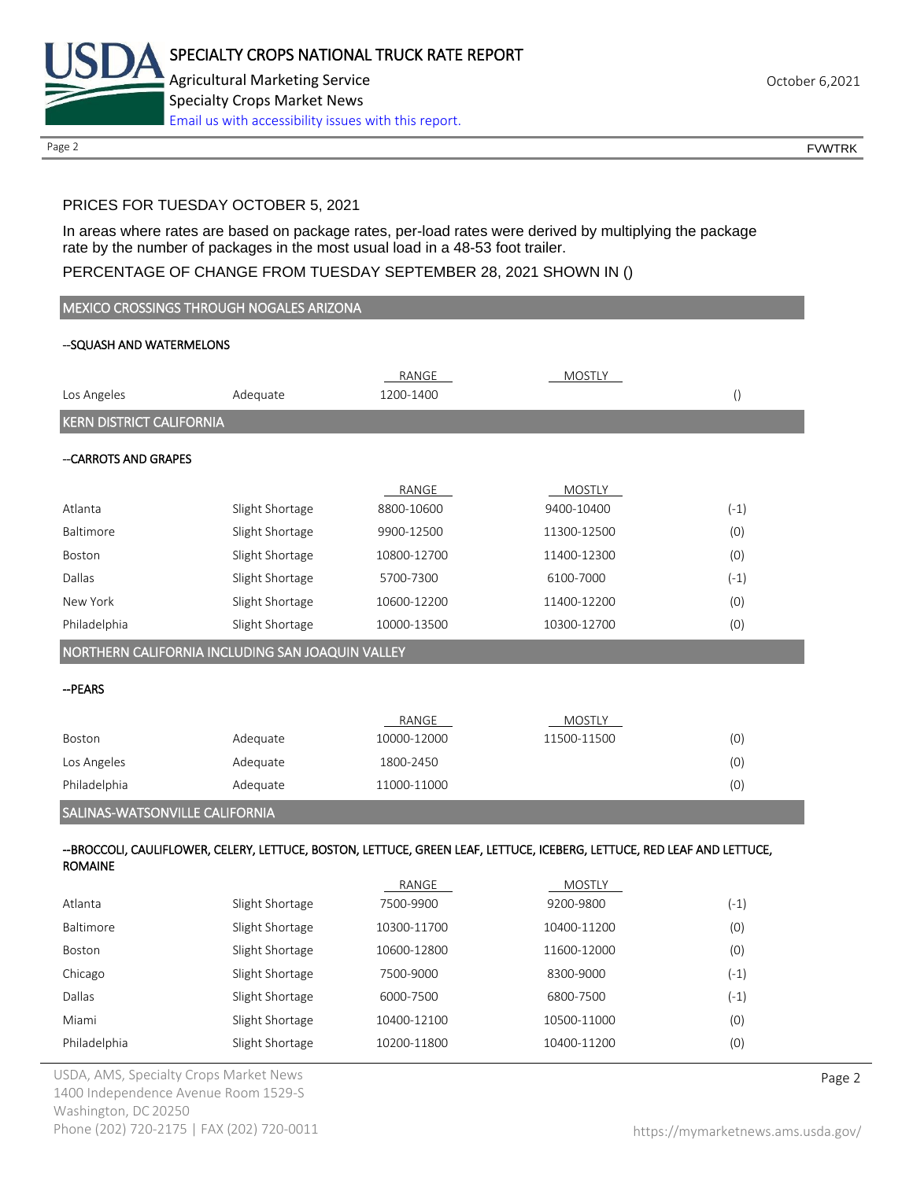

Page 2 FOUNTRK CONTROL CONTROL CONTROL CONTROL CONTROL CONTROL CONTROL CONTROL CONTROL CONTROL CONTROL CONTROL CONTROL CONTROL CONTROL CONTROL CONTROL CONTROL CONTROL CONTROL CONTROL CONTROL CONTROL CONTROL CONTROL CONTROL

# PRICES FOR TUESDAY OCTOBER 5, 2021

In areas where rates are based on package rates, per-load rates were derived by multiplying the package rate by the number of packages in the most usual load in a 48-53 foot trailer.

## PERCENTAGE OF CHANGE FROM TUESDAY SEPTEMBER 28, 2021 SHOWN IN ()

| <b>MEXICO CROSSINGS THROUGH NOGALES ARIZONA</b> |                                                  |             |                                                                                                                         |                  |  |
|-------------------------------------------------|--------------------------------------------------|-------------|-------------------------------------------------------------------------------------------------------------------------|------------------|--|
| --SQUASH AND WATERMELONS                        |                                                  |             |                                                                                                                         |                  |  |
|                                                 |                                                  | RANGE       | <b>MOSTLY</b>                                                                                                           |                  |  |
| Los Angeles                                     | Adequate                                         | 1200-1400   |                                                                                                                         | $\left( \right)$ |  |
| <b>KERN DISTRICT CALIFORNIA</b>                 |                                                  |             |                                                                                                                         |                  |  |
|                                                 |                                                  |             |                                                                                                                         |                  |  |
| --CARROTS AND GRAPES                            |                                                  |             |                                                                                                                         |                  |  |
|                                                 |                                                  | RANGE       | <b>MOSTLY</b>                                                                                                           |                  |  |
| Atlanta                                         | Slight Shortage                                  | 8800-10600  | 9400-10400                                                                                                              | $(-1)$           |  |
| Baltimore                                       | Slight Shortage                                  | 9900-12500  | 11300-12500                                                                                                             | (0)              |  |
| Boston                                          | Slight Shortage                                  | 10800-12700 | 11400-12300                                                                                                             | (0)              |  |
| Dallas                                          | Slight Shortage                                  | 5700-7300   | 6100-7000                                                                                                               | $(-1)$           |  |
| New York                                        | Slight Shortage                                  | 10600-12200 | 11400-12200                                                                                                             | (0)              |  |
| Philadelphia                                    | Slight Shortage                                  | 10000-13500 | 10300-12700                                                                                                             | (0)              |  |
|                                                 | NORTHERN CALIFORNIA INCLUDING SAN JOAQUIN VALLEY |             |                                                                                                                         |                  |  |
| -- PEARS                                        |                                                  |             |                                                                                                                         |                  |  |
|                                                 |                                                  | RANGE       | <b>MOSTLY</b>                                                                                                           |                  |  |
| Boston                                          | Adequate                                         | 10000-12000 | 11500-11500                                                                                                             | (0)              |  |
| Los Angeles                                     | Adequate                                         | 1800-2450   |                                                                                                                         | (0)              |  |
| Philadelphia                                    | Adequate                                         | 11000-11000 |                                                                                                                         | (0)              |  |
| SALINAS-WATSONVILLE CALIFORNIA                  |                                                  |             |                                                                                                                         |                  |  |
|                                                 |                                                  |             |                                                                                                                         |                  |  |
| <b>ROMAINE</b>                                  |                                                  |             | --BROCCOLI, CAULIFLOWER, CELERY, LETTUCE, BOSTON, LETTUCE, GREEN LEAF, LETTUCE, ICEBERG, LETTUCE, RED LEAF AND LETTUCE, |                  |  |
|                                                 |                                                  | RANGE       | <b>MOSTLY</b>                                                                                                           |                  |  |
| Atlanta                                         | Slight Shortage                                  | 7500-9900   | 9200-9800                                                                                                               | $(-1)$           |  |
| Baltimore                                       | Slight Shortage                                  | 10300-11700 | 10400-11200                                                                                                             | (0)              |  |
| Boston                                          | Slight Shortage                                  | 10600-12800 | 11600-12000                                                                                                             | (0)              |  |
| Chicago                                         | Slight Shortage                                  | 7500-9000   | 8300-9000                                                                                                               | $(-1)$           |  |
| Dallas                                          | Slight Shortage                                  | 6000-7500   | 6800-7500                                                                                                               | $(-1)$           |  |

Miami Slight Shortage 10400-12100 10500-11000 10500-11000 (0) Philadelphia Slight Shortage 10200-11800 10400-11200 (0)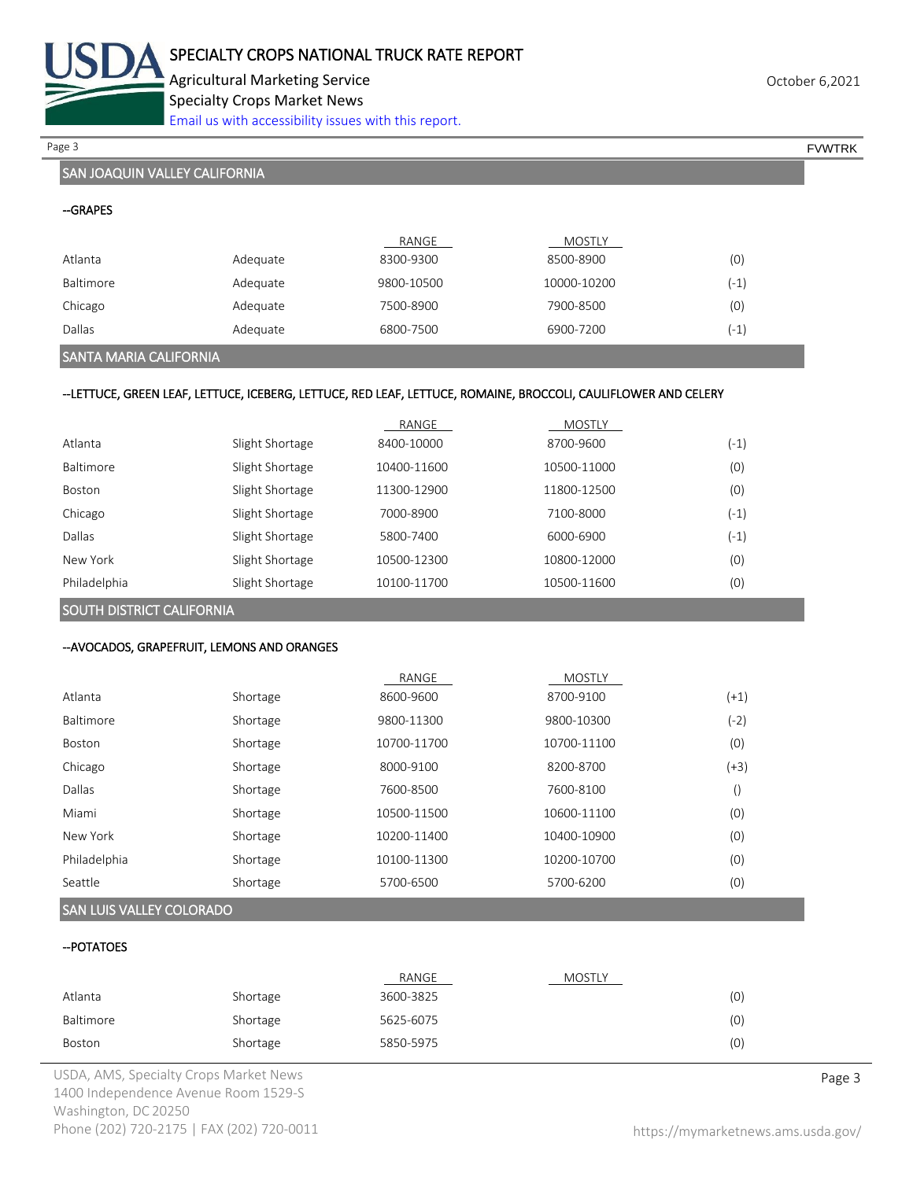

Agricultural Marketing Service **Agricultural Marketing Service** Agricultural Marketing Service Specialty Crops Market News [Email us with accessibility issues with this report.](mailto:mars@ams.usda.gov?subject=508%20Inquiry/Report)

Page 3 FOUNTRK And the set of the set of the set of the set of the set of the set of the set of the set of the set of the set of the set of the set of the set of the set of the set of the set of the set of the set of the s

# SAN JOAQUIN VALLEY CALIFORNIA

|           |          | RANGE      | <b>MOSTLY</b> |        |
|-----------|----------|------------|---------------|--------|
| Atlanta   | Adequate | 8300-9300  | 8500-8900     | (0)    |
| Baltimore | Adequate | 9800-10500 | 10000-10200   | $(-1)$ |
| Chicago   | Adequate | 7500-8900  | 7900-8500     | (0)    |
| Dallas    | Adequate | 6800-7500  | 6900-7200     | $(-1)$ |

# SANTA MARIA CALIFORNIA

#### --LETTUCE, GREEN LEAF, LETTUCE, ICEBERG, LETTUCE, RED LEAF, LETTUCE, ROMAINE, BROCCOLI, CAULIFLOWER AND CELERY

|               |                 | RANGE       | <b>MOSTLY</b> |        |
|---------------|-----------------|-------------|---------------|--------|
| Atlanta       | Slight Shortage | 8400-10000  | 8700-9600     | $(-1)$ |
| Baltimore     | Slight Shortage | 10400-11600 | 10500-11000   | (0)    |
| <b>Boston</b> | Slight Shortage | 11300-12900 | 11800-12500   | (0)    |
| Chicago       | Slight Shortage | 7000-8900   | 7100-8000     | $(-1)$ |
| Dallas        | Slight Shortage | 5800-7400   | 6000-6900     | $(-1)$ |
| New York      | Slight Shortage | 10500-12300 | 10800-12000   | (0)    |
| Philadelphia  | Slight Shortage | 10100-11700 | 10500-11600   | (0)    |

SOUTH DISTRICT CALIFORNIA

### --AVOCADOS, GRAPEFRUIT, LEMONS AND ORANGES

|              |          | RANGE       | <b>MOSTLY</b> |      |
|--------------|----------|-------------|---------------|------|
| Atlanta      | Shortage | 8600-9600   | 8700-9100     | (+1) |
| Baltimore    | Shortage | 9800-11300  | 9800-10300    | (-2) |
| Boston       | Shortage | 10700-11700 | 10700-11100   | (0)  |
| Chicago      | Shortage | 8000-9100   | 8200-8700     | (+3) |
| Dallas       | Shortage | 7600-8500   | 7600-8100     |      |
| Miami        | Shortage | 10500-11500 | 10600-11100   | (0)  |
| New York     | Shortage | 10200-11400 | 10400-10900   | (0)  |
| Philadelphia | Shortage | 10100-11300 | 10200-10700   | (0)  |
| Seattle      | Shortage | 5700-6500   | 5700-6200     | (0)  |

### SAN LUIS VALLEY COLORADO

#### --POTATOES

|           |          | RANGE     | <b>MOSTLY</b> |     |
|-----------|----------|-----------|---------------|-----|
| Atlanta   | Shortage | 3600-3825 |               | (0) |
| Baltimore | Shortage | 5625-6075 |               | (0) |
| Boston    | Shortage | 5850-5975 |               | (0) |

USDA, AMS, Specialty Crops Market News **Page 3** 1400 Independence Avenue Room 1529-S Washington, DC 20250 Phone (202) 720-2175 | FAX (202) 720-0011 <https://mymarketnews.ams.usda.gov/>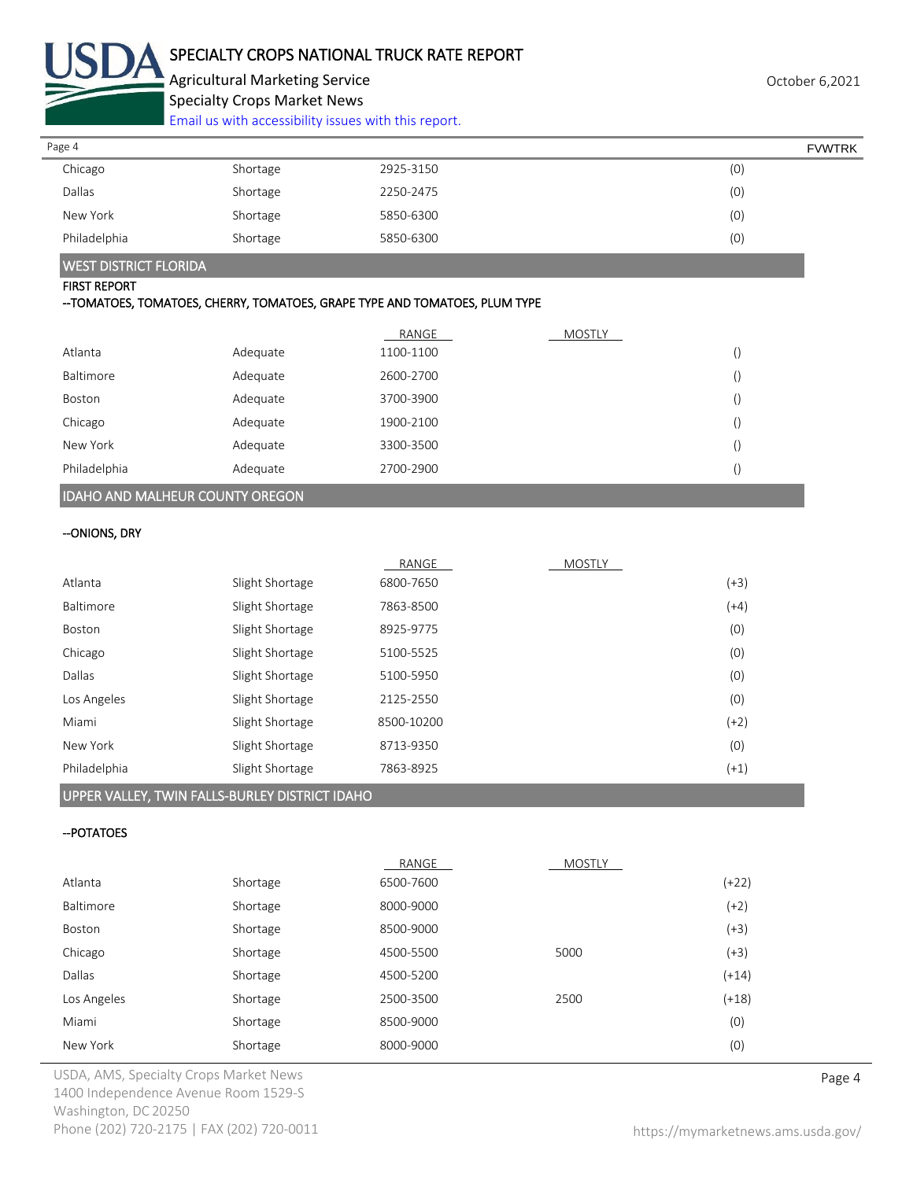

# SPECIALTY CROPS NATIONAL TRUCK RATE REPORT

Agricultural Marketing Service **Agricultural Marketing Service** Agricultural Marketing Service Specialty Crops Market News

[Email us with accessibility issues with this report.](mailto:mars@ams.usda.gov?subject=508%20Inquiry/Report)

| Page 4       |          |           | <b>FVWTRK</b> |
|--------------|----------|-----------|---------------|
| Chicago      | Shortage | 2925-3150 | (0)           |
| Dallas       | Shortage | 2250-2475 | (0)           |
| New York     | Shortage | 5850-6300 | (0)           |
| Philadelphia | Shortage | 5850-6300 | (0)           |

### WEST DISTRICT FLORIDA

#### FIRST REPORT

#### --TOMATOES, TOMATOES, CHERRY, TOMATOES, GRAPE TYPE AND TOMATOES, PLUM TYPE

|              |          | RANGE     | <b>MOSTLY</b> |  |
|--------------|----------|-----------|---------------|--|
| Atlanta      | Adequate | 1100-1100 |               |  |
| Baltimore    | Adequate | 2600-2700 |               |  |
| Boston       | Adequate | 3700-3900 |               |  |
| Chicago      | Adequate | 1900-2100 |               |  |
| New York     | Adequate | 3300-3500 |               |  |
| Philadelphia | Adequate | 2700-2900 |               |  |

## IDAHO AND MALHEUR COUNTY OREGON

### --ONIONS, DRY

|              |                 | RANGE      | <b>MOSTLY</b> |        |
|--------------|-----------------|------------|---------------|--------|
| Atlanta      | Slight Shortage | 6800-7650  |               | $(+3)$ |
| Baltimore    | Slight Shortage | 7863-8500  |               | $(+4)$ |
| Boston       | Slight Shortage | 8925-9775  |               | (0)    |
| Chicago      | Slight Shortage | 5100-5525  |               | (0)    |
| Dallas       | Slight Shortage | 5100-5950  |               | (0)    |
| Los Angeles  | Slight Shortage | 2125-2550  |               | (0)    |
| Miami        | Slight Shortage | 8500-10200 |               | $(+2)$ |
| New York     | Slight Shortage | 8713-9350  |               | (0)    |
| Philadelphia | Slight Shortage | 7863-8925  |               | $(+1)$ |

### UPPER VALLEY, TWIN FALLS-BURLEY DISTRICT IDAHO

### --POTATOES

|             |          | RANGE     | <b>MOSTLY</b> |         |
|-------------|----------|-----------|---------------|---------|
| Atlanta     | Shortage | 6500-7600 |               | $(+22)$ |
| Baltimore   | Shortage | 8000-9000 |               | $(+2)$  |
| Boston      | Shortage | 8500-9000 |               | $(+3)$  |
| Chicago     | Shortage | 4500-5500 | 5000          | $(+3)$  |
| Dallas      | Shortage | 4500-5200 |               | $(+14)$ |
| Los Angeles | Shortage | 2500-3500 | 2500          | $(+18)$ |
| Miami       | Shortage | 8500-9000 |               | (0)     |
| New York    | Shortage | 8000-9000 |               | (0)     |

USDA, AMS, Specialty Crops Market News **Page 4** 1400 Independence Avenue Room 1529-S Washington, DC 20250 Phone (202) 720-2175 | FAX (202) 720-0011 <https://mymarketnews.ams.usda.gov/>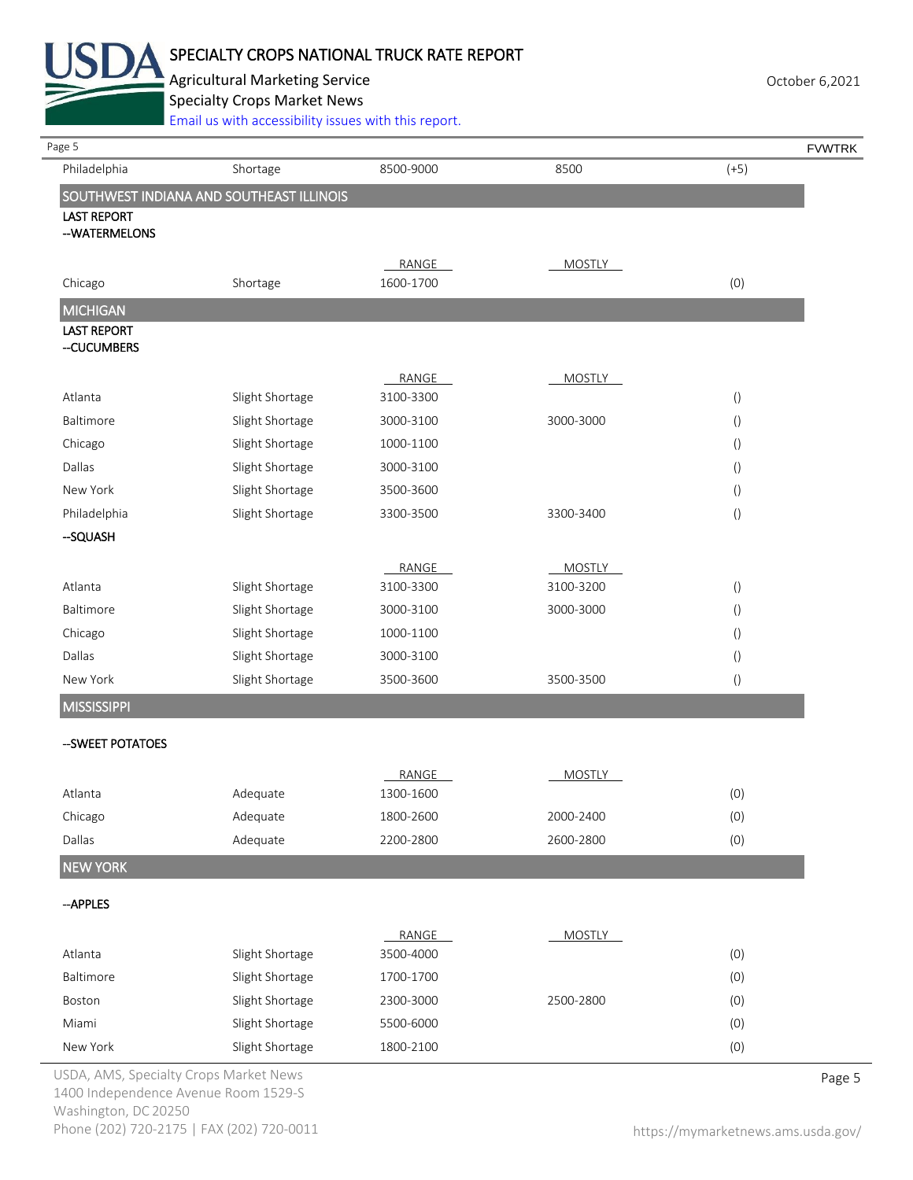

# SPECIALTY CROPS NATIONAL TRUCK RATE REPORT

Agricultural Marketing Service **Agricultural Marketing Service** Agricultural Marketing Service

Specialty Crops Market News

[Email us with accessibility issues with this report.](mailto:mars@ams.usda.gov?subject=508%20Inquiry/Report)

| Page 5                                 |                                          |                    |                            |                  | <b>FVWTRK</b> |
|----------------------------------------|------------------------------------------|--------------------|----------------------------|------------------|---------------|
| Philadelphia                           | Shortage                                 | 8500-9000          | 8500                       | $(+5)$           |               |
|                                        | SOUTHWEST INDIANA AND SOUTHEAST ILLINOIS |                    |                            |                  |               |
| <b>LAST REPORT</b><br>--WATERMELONS    |                                          |                    |                            |                  |               |
|                                        |                                          |                    |                            |                  |               |
|                                        |                                          | RANGE              | <b>MOSTLY</b>              |                  |               |
| Chicago                                | Shortage                                 | 1600-1700          |                            | (0)              |               |
| <b>MICHIGAN</b>                        |                                          |                    |                            |                  |               |
| <b>LAST REPORT</b><br>--CUCUMBERS      |                                          |                    |                            |                  |               |
|                                        |                                          | RANGE              | <b>MOSTLY</b>              |                  |               |
| Atlanta                                | Slight Shortage                          | 3100-3300          |                            | $\left( \right)$ |               |
| Baltimore                              | Slight Shortage                          | 3000-3100          | 3000-3000                  | $\left( \right)$ |               |
| Chicago                                | Slight Shortage                          | 1000-1100          |                            | $\left( \right)$ |               |
| Dallas                                 | Slight Shortage                          | 3000-3100          |                            | $\left( \right)$ |               |
| New York                               | Slight Shortage                          | 3500-3600          |                            | $\left( \right)$ |               |
| Philadelphia                           | Slight Shortage                          | 3300-3500          | 3300-3400                  | $\left(\right)$  |               |
| -SQUASH                                |                                          |                    |                            |                  |               |
|                                        |                                          |                    |                            |                  |               |
| Atlanta                                | Slight Shortage                          | RANGE<br>3100-3300 | <b>MOSTLY</b><br>3100-3200 | $\left( \right)$ |               |
| Baltimore                              | Slight Shortage                          | 3000-3100          | 3000-3000                  | $\left( \right)$ |               |
| Chicago                                | Slight Shortage                          | 1000-1100          |                            | $\left( \right)$ |               |
| Dallas                                 | Slight Shortage                          | 3000-3100          |                            | $\left( \right)$ |               |
| New York                               | Slight Shortage                          | 3500-3600          | 3500-3500                  | $\left( \right)$ |               |
| <b>MISSISSIPPI</b>                     |                                          |                    |                            |                  |               |
|                                        |                                          |                    |                            |                  |               |
| -- SWEET POTATOES                      |                                          |                    |                            |                  |               |
|                                        |                                          | RANGE              | <b>MOSTLY</b>              |                  |               |
| Atlanta                                | Adequate                                 | 1300-1600          |                            | (0)              |               |
| Chicago                                | Adequate                                 | 1800-2600          | 2000-2400                  | (0)              |               |
| Dallas                                 | Adequate                                 | 2200-2800          | 2600-2800                  | (0)              |               |
| <b>NEW YORK</b>                        |                                          |                    |                            |                  |               |
| --APPLES                               |                                          |                    |                            |                  |               |
|                                        |                                          | RANGE              | <b>MOSTLY</b>              |                  |               |
| Atlanta                                | Slight Shortage                          | 3500-4000          |                            | (0)              |               |
| Baltimore                              | Slight Shortage                          | 1700-1700          |                            | (0)              |               |
| Boston                                 | Slight Shortage                          | 2300-3000          | 2500-2800                  | (0)              |               |
| Miami                                  | Slight Shortage                          | 5500-6000          |                            | (0)              |               |
| New York                               | Slight Shortage                          | 1800-2100          |                            | (0)              |               |
| USDA, AMS, Specialty Crops Market News |                                          |                    |                            |                  | Page 5        |

1400 Independence Avenue Room 1529-S Washington, DC 20250 Phone (202) 720-2175 | FAX (202) 720-0011 <https://mymarketnews.ams.usda.gov/>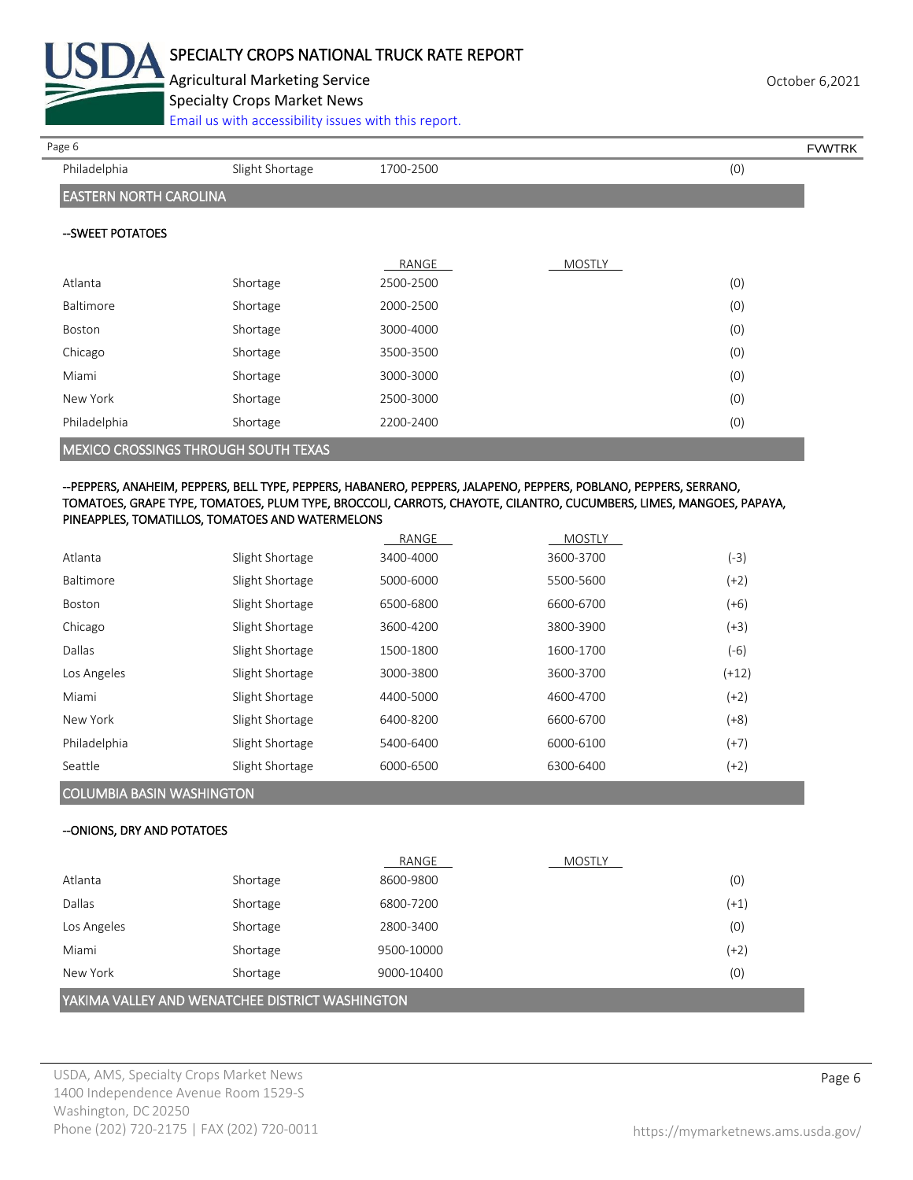

Agricultural Marketing Service **Agricultural Marketing Service** Agricultural Marketing Service Specialty Crops Market News

[Email us with accessibility issues with this report.](mailto:mars@ams.usda.gov?subject=508%20Inquiry/Report)

Philadelphia Slight Shortage 1700-2500 1700-2500 (0)

Page 6 FVWTRK

## EASTERN NORTH CAROLINA

#### --SWEET POTATOES

|                                      |          | RANGE     | <b>MOSTLY</b> |     |
|--------------------------------------|----------|-----------|---------------|-----|
| Atlanta                              | Shortage | 2500-2500 |               | (0) |
| Baltimore                            | Shortage | 2000-2500 |               | (0) |
| Boston                               | Shortage | 3000-4000 |               | (0) |
| Chicago                              | Shortage | 3500-3500 |               | (0) |
| Miami                                | Shortage | 3000-3000 |               | (0) |
| New York                             | Shortage | 2500-3000 |               | (0) |
| Philadelphia                         | Shortage | 2200-2400 |               | (0) |
| MEXICO CROSSINGS THROUGH SOUTH TEXAS |          |           |               |     |

#### --PEPPERS, ANAHEIM, PEPPERS, BELL TYPE, PEPPERS, HABANERO, PEPPERS, JALAPENO, PEPPERS, POBLANO, PEPPERS, SERRANO, TOMATOES, GRAPE TYPE, TOMATOES, PLUM TYPE, BROCCOLI, CARROTS, CHAYOTE, CILANTRO, CUCUMBERS, LIMES, MANGOES, PAPAYA, PINEAPPLES, TOMATILLOS, TOMATOES AND WATERMELONS

|                  |                 | RANGE     | <b>MOSTLY</b> |         |
|------------------|-----------------|-----------|---------------|---------|
| Atlanta          | Slight Shortage | 3400-4000 | 3600-3700     | (-3)    |
| <b>Baltimore</b> | Slight Shortage | 5000-6000 | 5500-5600     | $(+2)$  |
| <b>Boston</b>    | Slight Shortage | 6500-6800 | 6600-6700     | $(+6)$  |
| Chicago          | Slight Shortage | 3600-4200 | 3800-3900     | $(+3)$  |
| Dallas           | Slight Shortage | 1500-1800 | 1600-1700     | $(-6)$  |
| Los Angeles      | Slight Shortage | 3000-3800 | 3600-3700     | $(+12)$ |
| Miami            | Slight Shortage | 4400-5000 | 4600-4700     | $(+2)$  |
| New York         | Slight Shortage | 6400-8200 | 6600-6700     | $(+8)$  |
| Philadelphia     | Slight Shortage | 5400-6400 | 6000-6100     | $(+7)$  |
| Seattle          | Slight Shortage | 6000-6500 | 6300-6400     | $(+2)$  |
|                  |                 |           |               |         |

### COLUMBIA BASIN WASHINGTON

#### --ONIONS, DRY AND POTATOES

|                                                 |          | RANGE      | <b>MOSTLY</b> |        |
|-------------------------------------------------|----------|------------|---------------|--------|
| Atlanta                                         | Shortage | 8600-9800  |               | (0)    |
| Dallas                                          | Shortage | 6800-7200  |               | $(+1)$ |
| Los Angeles                                     | Shortage | 2800-3400  |               | (0)    |
| Miami                                           | Shortage | 9500-10000 |               | $(+2)$ |
| New York                                        | Shortage | 9000-10400 |               | (0)    |
| YAKIMA VALLEY AND WENATCHEE DISTRICT WASHINGTON |          |            |               |        |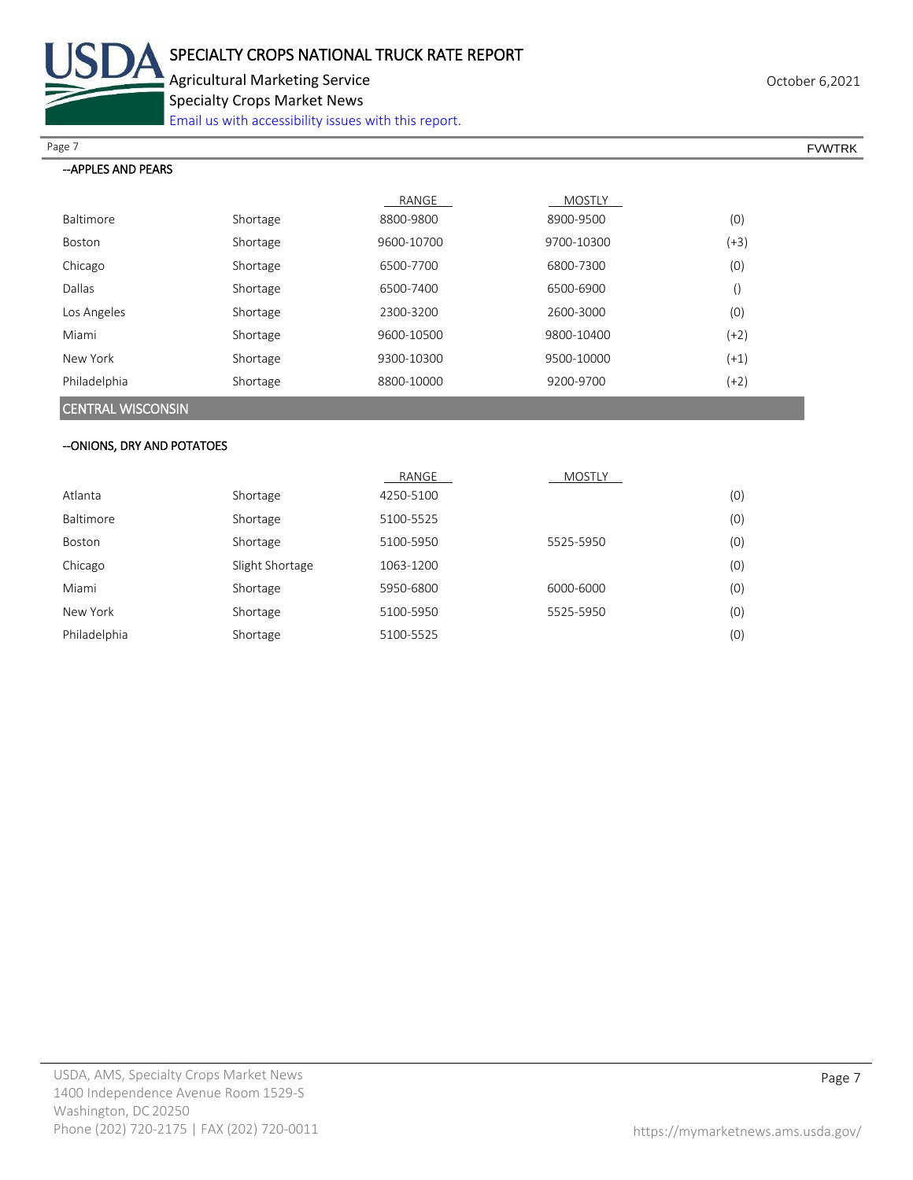

Agricultural Marketing Service **Agricultural Marketing Service** Agricultural Marketing Service

Specialty Crops Market News

[Email us with accessibility issues with this report.](mailto:mars@ams.usda.gov?subject=508%20Inquiry/Report)

Page 7 FOUNTRK And the set of the set of the set of the set of the set of the set of the set of the set of the set of the set of the set of the set of the set of the set of the set of the set of the set of the set of the s

#### --APPLES AND PEARS

|                  |          | RANGE      | <b>MOSTLY</b> |        |
|------------------|----------|------------|---------------|--------|
| <b>Baltimore</b> | Shortage | 8800-9800  | 8900-9500     | (0)    |
| <b>Boston</b>    | Shortage | 9600-10700 | 9700-10300    | (+3)   |
| Chicago          | Shortage | 6500-7700  | 6800-7300     | (0)    |
| Dallas           | Shortage | 6500-7400  | 6500-6900     |        |
| Los Angeles      | Shortage | 2300-3200  | 2600-3000     | (0)    |
| Miami            | Shortage | 9600-10500 | 9800-10400    | $(+2)$ |
| New York         | Shortage | 9300-10300 | 9500-10000    | $(+1)$ |
| Philadelphia     | Shortage | 8800-10000 | 9200-9700     | $(+2)$ |
|                  |          |            |               |        |

#### CENTRAL WISCONSIN

#### --ONIONS, DRY AND POTATOES

|              |                 | RANGE     | <b>MOSTLY</b> |     |
|--------------|-----------------|-----------|---------------|-----|
| Atlanta      | Shortage        | 4250-5100 |               | (0) |
| Baltimore    | Shortage        | 5100-5525 |               | (0) |
| Boston       | Shortage        | 5100-5950 | 5525-5950     | (0) |
| Chicago      | Slight Shortage | 1063-1200 |               | (0) |
| Miami        | Shortage        | 5950-6800 | 6000-6000     | (0) |
| New York     | Shortage        | 5100-5950 | 5525-5950     | (0) |
| Philadelphia | Shortage        | 5100-5525 |               | (0) |